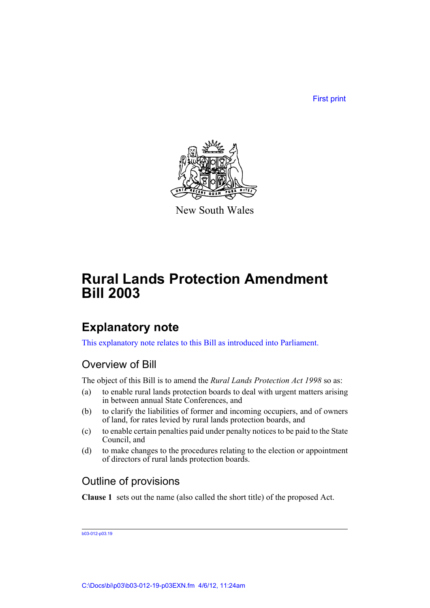First print



New South Wales

# **Rural Lands Protection Amendment Bill 2003**

## **Explanatory note**

This explanatory note relates to this Bill as introduced into Parliament.

### Overview of Bill

The object of this Bill is to amend the *Rural Lands Protection Act 1998* so as:

- (a) to enable rural lands protection boards to deal with urgent matters arising in between annual State Conferences, and
- (b) to clarify the liabilities of former and incoming occupiers, and of owners of land, for rates levied by rural lands protection boards, and
- (c) to enable certain penalties paid under penalty notices to be paid to the State Council, and
- (d) to make changes to the procedures relating to the election or appointment of directors of rural lands protection boards.

### Outline of provisions

**Clause 1** sets out the name (also called the short title) of the proposed Act.

b03-012-p03.19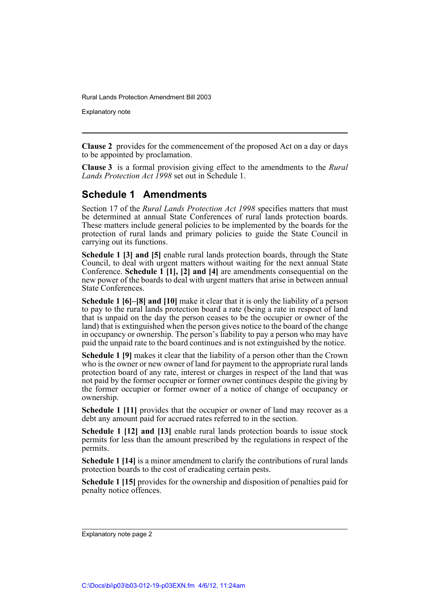Explanatory note

**Clause 2** provides for the commencement of the proposed Act on a day or days to be appointed by proclamation.

**Clause 3** is a formal provision giving effect to the amendments to the *Rural Lands Protection Act 1998* set out in Schedule 1.

### **Schedule 1 Amendments**

Section 17 of the *Rural Lands Protection Act 1998* specifies matters that must be determined at annual State Conferences of rural lands protection boards. These matters include general policies to be implemented by the boards for the protection of rural lands and primary policies to guide the State Council in carrying out its functions.

**Schedule 1 [3] and [5]** enable rural lands protection boards, through the State Council, to deal with urgent matters without waiting for the next annual State Conference. **Schedule 1 [1], [2] and [4]** are amendments consequential on the new power of the boards to deal with urgent matters that arise in between annual State Conferences.

**Schedule 1 [6]–[8] and [10]** make it clear that it is only the liability of a person to pay to the rural lands protection board a rate (being a rate in respect of land that is unpaid on the day the person ceases to be the occupier or owner of the land) that is extinguished when the person gives notice to the board of the change in occupancy or ownership. The person's liability to pay a person who may have paid the unpaid rate to the board continues and is not extinguished by the notice.

**Schedule 1 [9]** makes it clear that the liability of a person other than the Crown who is the owner or new owner of land for payment to the appropriate rural lands protection board of any rate, interest or charges in respect of the land that was not paid by the former occupier or former owner continues despite the giving by the former occupier or former owner of a notice of change of occupancy or ownership.

**Schedule 1 [11]** provides that the occupier or owner of land may recover as a debt any amount paid for accrued rates referred to in the section.

**Schedule 1 [12] and [13]** enable rural lands protection boards to issue stock permits for less than the amount prescribed by the regulations in respect of the permits.

**Schedule 1 [14]** is a minor amendment to clarify the contributions of rural lands protection boards to the cost of eradicating certain pests.

**Schedule 1 [15]** provides for the ownership and disposition of penalties paid for penalty notice offences.

Explanatory note page 2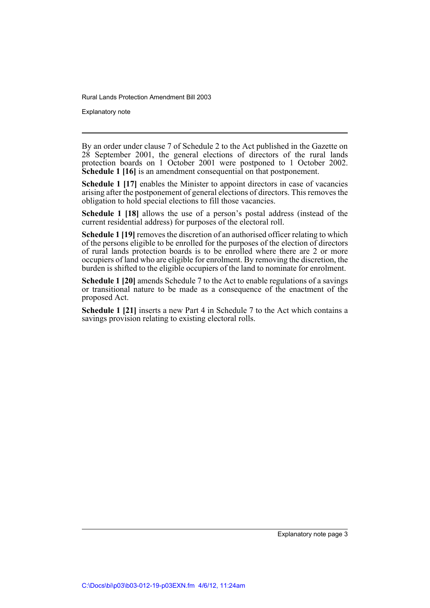Explanatory note

By an order under clause 7 of Schedule 2 to the Act published in the Gazette on 28 September 2001, the general elections of directors of the rural lands protection boards on 1 October 2001 were postponed to 1 October 2002. **Schedule 1 [16]** is an amendment consequential on that postponement.

**Schedule 1 [17]** enables the Minister to appoint directors in case of vacancies arising after the postponement of general elections of directors. This removes the obligation to hold special elections to fill those vacancies.

**Schedule 1 [18]** allows the use of a person's postal address (instead of the current residential address) for purposes of the electoral roll.

**Schedule 1 [19]** removes the discretion of an authorised officer relating to which of the persons eligible to be enrolled for the purposes of the election of directors of rural lands protection boards is to be enrolled where there are 2 or more occupiers of land who are eligible for enrolment. By removing the discretion, the burden is shifted to the eligible occupiers of the land to nominate for enrolment.

**Schedule 1 [20]** amends Schedule 7 to the Act to enable regulations of a savings or transitional nature to be made as a consequence of the enactment of the proposed Act.

**Schedule 1 [21]** inserts a new Part 4 in Schedule 7 to the Act which contains a savings provision relating to existing electoral rolls.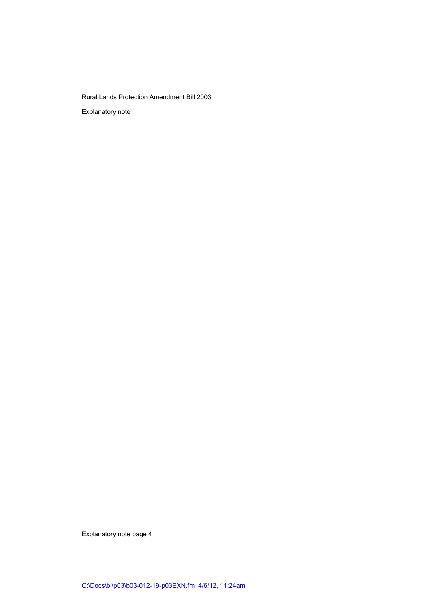Explanatory note

Explanatory note page 4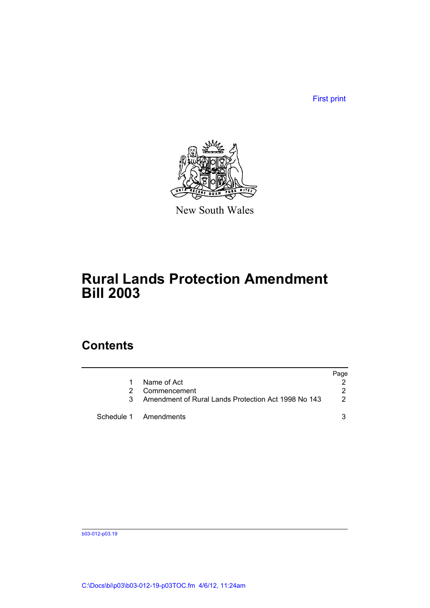First print



New South Wales

# **Rural Lands Protection Amendment Bill 2003**

## **Contents**

|                                                     | Page                  |
|-----------------------------------------------------|-----------------------|
| Name of Act                                         |                       |
| Commencement                                        | 2                     |
| Amendment of Rural Lands Protection Act 1998 No 143 | $\mathcal{P}$         |
|                                                     |                       |
|                                                     | Schedule 1 Amendments |

b03-012-p03.19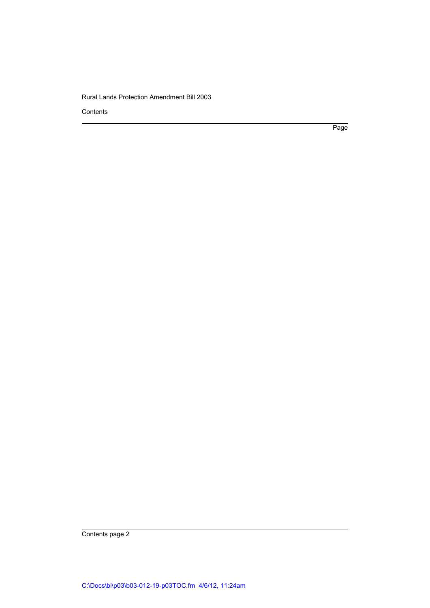**Contents** 

Page

Contents page 2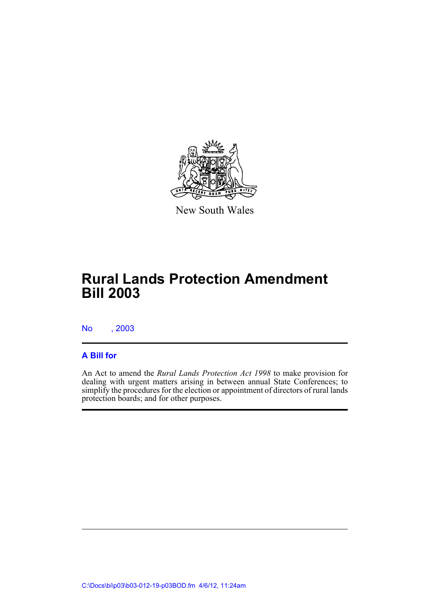

New South Wales

# **Rural Lands Protection Amendment Bill 2003**

No , 2003

### **A Bill for**

An Act to amend the *Rural Lands Protection Act 1998* to make provision for dealing with urgent matters arising in between annual State Conferences; to simplify the procedures for the election or appointment of directors of rural lands protection boards; and for other purposes.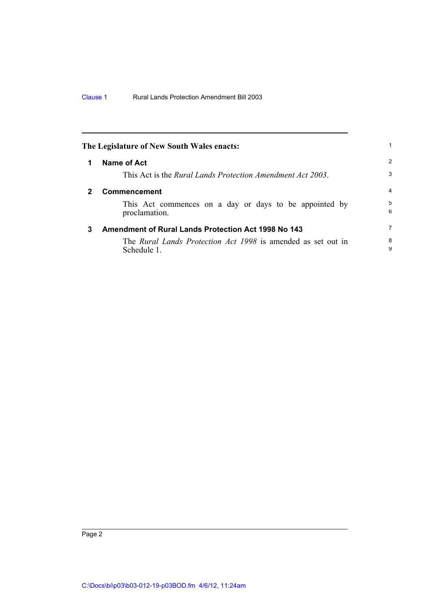<span id="page-7-2"></span><span id="page-7-1"></span><span id="page-7-0"></span>

|             | The Legislature of New South Wales enacts:                                        | 1      |
|-------------|-----------------------------------------------------------------------------------|--------|
| 1           | Name of Act                                                                       | 2      |
|             | This Act is the <i>Rural Lands Protection Amendment Act 2003</i> .                | 3      |
| $\mathbf 2$ | <b>Commencement</b>                                                               | 4      |
|             | This Act commences on a day or days to be appointed by<br>proclamation.           | 5<br>6 |
| 3           | <b>Amendment of Rural Lands Protection Act 1998 No 143</b>                        | 7      |
|             | The <i>Rural Lands Protection Act 1998</i> is amended as set out in<br>Schedule 1 | 8<br>9 |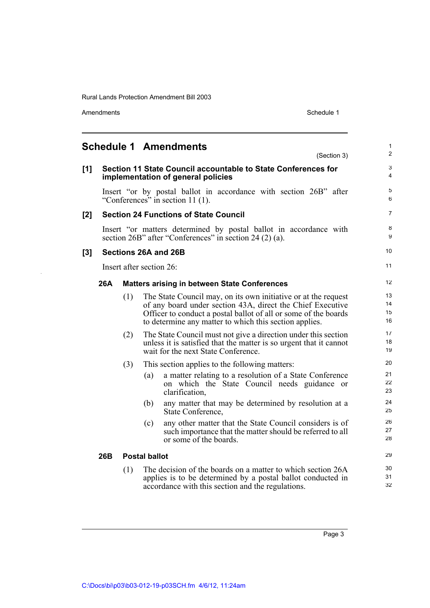Amendments Schedule 1

 $\ddot{\phantom{a}}$ 

<span id="page-8-0"></span>

|     |            |                          |                      | <b>Schedule 1 Amendments</b><br>(Section 3)                                                                                                                                                                                                               | $\mathbf{1}$<br>2    |
|-----|------------|--------------------------|----------------------|-----------------------------------------------------------------------------------------------------------------------------------------------------------------------------------------------------------------------------------------------------------|----------------------|
| [1] |            |                          |                      | Section 11 State Council accountable to State Conferences for<br>implementation of general policies                                                                                                                                                       | 3<br>4               |
|     |            |                          |                      | Insert "or by postal ballot in accordance with section 26B" after<br>"Conferences" in section $11$ (1).                                                                                                                                                   | 5<br>6               |
| [2] |            |                          |                      | <b>Section 24 Functions of State Council</b>                                                                                                                                                                                                              | 7                    |
|     |            |                          |                      | Insert "or matters determined by postal ballot in accordance with<br>section 26B" after "Conferences" in section 24 (2) (a).                                                                                                                              | 8<br>9               |
| [3] |            |                          |                      | Sections 26A and 26B                                                                                                                                                                                                                                      | 10                   |
|     |            | Insert after section 26: |                      |                                                                                                                                                                                                                                                           | 11                   |
|     | <b>26A</b> |                          |                      | <b>Matters arising in between State Conferences</b>                                                                                                                                                                                                       | $12 \overline{ }$    |
|     |            | (1)                      |                      | The State Council may, on its own initiative or at the request<br>of any board under section 43A, direct the Chief Executive<br>Officer to conduct a postal ballot of all or some of the boards<br>to determine any matter to which this section applies. | 13<br>14<br>15<br>16 |
|     |            | (2)                      |                      | The State Council must not give a direction under this section<br>unless it is satisfied that the matter is so urgent that it cannot<br>wait for the next State Conference.                                                                               | 17<br>18<br>19       |
|     |            | (3)                      |                      | This section applies to the following matters:                                                                                                                                                                                                            | 20                   |
|     |            |                          | (a)                  | a matter relating to a resolution of a State Conference<br>on which the State Council needs guidance or<br>clarification,                                                                                                                                 | 21<br>22<br>23       |
|     |            |                          | (b)                  | any matter that may be determined by resolution at a<br>State Conference,                                                                                                                                                                                 | 24<br>25             |
|     |            |                          | (c)                  | any other matter that the State Council considers is of<br>such importance that the matter should be referred to all<br>or some of the boards.                                                                                                            | 26<br>27<br>28       |
|     | 26B        |                          | <b>Postal ballot</b> |                                                                                                                                                                                                                                                           | 29                   |
|     |            | (1)                      |                      | The decision of the boards on a matter to which section 26A<br>applies is to be determined by a postal ballot conducted in<br>accordance with this section and the regulations.                                                                           | 30<br>31<br>32       |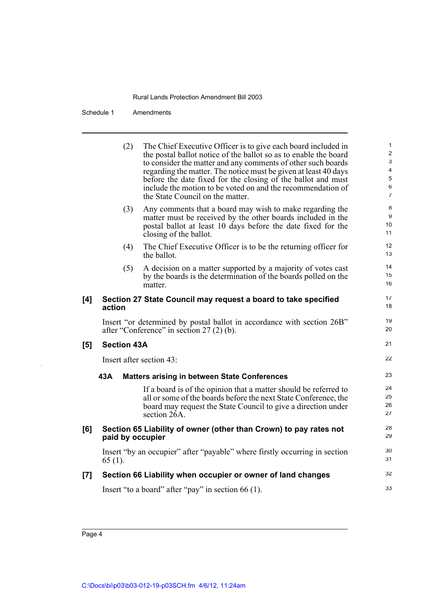Schedule 1 Amendments

|       | (2)                      | The Chief Executive Officer is to give each board included in<br>the postal ballot notice of the ballot so as to enable the board<br>to consider the matter and any comments of other such boards<br>regarding the matter. The notice must be given at least 40 days<br>before the date fixed for the closing of the ballot and must<br>include the motion to be voted on and the recommendation of<br>the State Council on the matter. | $\mathbf{1}$<br>$\overline{2}$<br>3<br>4<br>5<br>6<br>$\overline{7}$ |
|-------|--------------------------|-----------------------------------------------------------------------------------------------------------------------------------------------------------------------------------------------------------------------------------------------------------------------------------------------------------------------------------------------------------------------------------------------------------------------------------------|----------------------------------------------------------------------|
|       | (3)                      | Any comments that a board may wish to make regarding the<br>matter must be received by the other boards included in the<br>postal ballot at least 10 days before the date fixed for the<br>closing of the ballot.                                                                                                                                                                                                                       | 8<br>9<br>10<br>11                                                   |
|       | (4)                      | The Chief Executive Officer is to be the returning officer for<br>the ballot.                                                                                                                                                                                                                                                                                                                                                           | 12<br>13                                                             |
|       | (5)                      | A decision on a matter supported by a majority of votes cast<br>by the boards is the determination of the boards polled on the<br>matter.                                                                                                                                                                                                                                                                                               | 14<br>15<br>16                                                       |
| [4]   | action                   | Section 27 State Council may request a board to take specified                                                                                                                                                                                                                                                                                                                                                                          | 17<br>18                                                             |
|       |                          | Insert "or determined by postal ballot in accordance with section 26B"<br>after "Conference" in section 27 (2) (b).                                                                                                                                                                                                                                                                                                                     | 19<br>20                                                             |
| $[5]$ | <b>Section 43A</b>       |                                                                                                                                                                                                                                                                                                                                                                                                                                         | 21                                                                   |
|       | Insert after section 43: |                                                                                                                                                                                                                                                                                                                                                                                                                                         | 22                                                                   |
|       | 43A                      | <b>Matters arising in between State Conferences</b>                                                                                                                                                                                                                                                                                                                                                                                     | 23                                                                   |
|       |                          | If a board is of the opinion that a matter should be referred to<br>all or some of the boards before the next State Conference, the<br>board may request the State Council to give a direction under<br>section 26A.                                                                                                                                                                                                                    | 24<br>25<br>26<br>27                                                 |
| [6]   | paid by occupier         | Section 65 Liability of owner (other than Crown) to pay rates not                                                                                                                                                                                                                                                                                                                                                                       | 28<br>29                                                             |
|       | $65(1)$ .                | Insert "by an occupier" after "payable" where firstly occurring in section                                                                                                                                                                                                                                                                                                                                                              | 30<br>31                                                             |
| $[7]$ |                          | Section 66 Liability when occupier or owner of land changes                                                                                                                                                                                                                                                                                                                                                                             | 32                                                                   |
|       |                          | Insert "to a board" after "pay" in section $66(1)$ .                                                                                                                                                                                                                                                                                                                                                                                    | 33                                                                   |
|       |                          |                                                                                                                                                                                                                                                                                                                                                                                                                                         |                                                                      |

Page 4

l,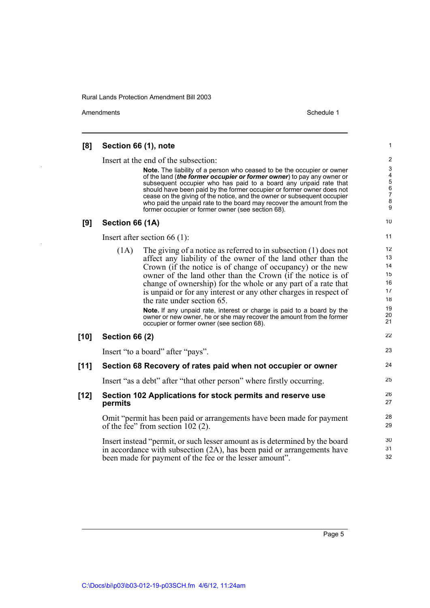Amendments Schedule 1

 $\ddot{\phantom{a}}$ 

| [8]    | Section 66 (1), note                                                                                                                                                                                                                                                                                                                                                                                                                                                                                                                                                                                                                       | 1                                                                          |
|--------|--------------------------------------------------------------------------------------------------------------------------------------------------------------------------------------------------------------------------------------------------------------------------------------------------------------------------------------------------------------------------------------------------------------------------------------------------------------------------------------------------------------------------------------------------------------------------------------------------------------------------------------------|----------------------------------------------------------------------------|
|        | Insert at the end of the subsection:                                                                                                                                                                                                                                                                                                                                                                                                                                                                                                                                                                                                       | $\overline{\mathbf{c}}$                                                    |
|        | <b>Note.</b> The liability of a person who ceased to be the occupier or owner<br>of the land (the former occupier or former owner) to pay any owner or<br>subsequent occupier who has paid to a board any unpaid rate that<br>should have been paid by the former occupier or former owner does not<br>cease on the giving of the notice, and the owner or subsequent occupier<br>who paid the unpaid rate to the board may recover the amount from the<br>former occupier or former owner (see section 68).                                                                                                                               | 3<br>$\overline{\mathcal{L}}$<br>$\frac{5}{6}$<br>$\overline{7}$<br>8<br>9 |
| [9]    | Section 66 (1A)                                                                                                                                                                                                                                                                                                                                                                                                                                                                                                                                                                                                                            | 10                                                                         |
|        | Insert after section 66 $(1)$ :                                                                                                                                                                                                                                                                                                                                                                                                                                                                                                                                                                                                            | 11                                                                         |
|        | (1A)<br>The giving of a notice as referred to in subsection $(1)$ does not<br>affect any liability of the owner of the land other than the<br>Crown (if the notice is of change of occupancy) or the new<br>owner of the land other than the Crown (if the notice is of<br>change of ownership) for the whole or any part of a rate that<br>is unpaid or for any interest or any other charges in respect of<br>the rate under section 65.<br>Note. If any unpaid rate, interest or charge is paid to a board by the<br>owner or new owner, he or she may recover the amount from the former<br>occupier or former owner (see section 68). | 12<br>13<br>14<br>15<br>16<br>17<br>18<br>19<br>20<br>21                   |
| $[10]$ | <b>Section 66 (2)</b>                                                                                                                                                                                                                                                                                                                                                                                                                                                                                                                                                                                                                      | 22                                                                         |
|        | Insert "to a board" after "pays".                                                                                                                                                                                                                                                                                                                                                                                                                                                                                                                                                                                                          | 23                                                                         |
| $[11]$ | Section 68 Recovery of rates paid when not occupier or owner                                                                                                                                                                                                                                                                                                                                                                                                                                                                                                                                                                               | 24                                                                         |
|        | Insert "as a debt" after "that other person" where firstly occurring.                                                                                                                                                                                                                                                                                                                                                                                                                                                                                                                                                                      | 25                                                                         |
| $[12]$ | Section 102 Applications for stock permits and reserve use<br>permits                                                                                                                                                                                                                                                                                                                                                                                                                                                                                                                                                                      | 26<br>27                                                                   |
|        | Omit "permit has been paid or arrangements have been made for payment<br>of the fee" from section $102(2)$ .                                                                                                                                                                                                                                                                                                                                                                                                                                                                                                                               | 28<br>29                                                                   |
|        | Insert instead "permit, or such lesser amount as is determined by the board<br>in accordance with subsection $(2A)$ , has been paid or arrangements have<br>been made for payment of the fee or the lesser amount".                                                                                                                                                                                                                                                                                                                                                                                                                        | 30<br>31<br>32                                                             |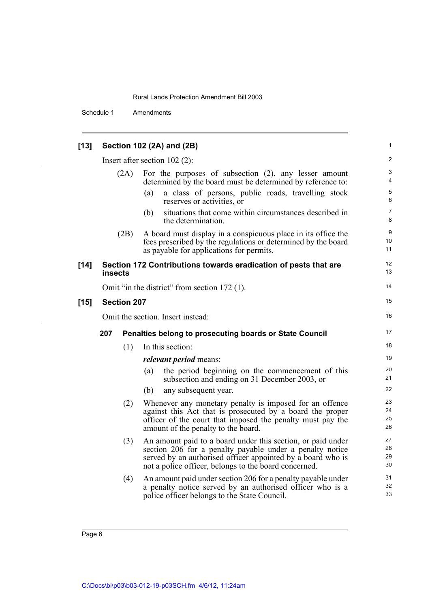Schedule 1 Amendments

| Section 102 (2A) and (2B) | [13] |  |  |  |  |  |
|---------------------------|------|--|--|--|--|--|
|---------------------------|------|--|--|--|--|--|

Insert after section 102 (2):

|      |                | (2A)               | For the purposes of subsection $(2)$ , any lesser amount<br>determined by the board must be determined by reference to:   | 3<br>4                 |
|------|----------------|--------------------|---------------------------------------------------------------------------------------------------------------------------|------------------------|
|      |                |                    | a class of persons, public roads, travelling stock<br>(a)                                                                 | $\mathbf 5$<br>$\,6\,$ |
|      |                |                    | reserves or activities, or<br>situations that come within circumstances described in<br>(b)                               | $\overline{7}$         |
|      |                |                    | the determination.                                                                                                        | 8                      |
|      |                | (2B)               | A board must display in a conspicuous place in its office the                                                             | 9                      |
|      |                |                    | fees prescribed by the regulations or determined by the board<br>as payable for applications for permits.                 | 10<br>11               |
| [14] | <b>insects</b> |                    | Section 172 Contributions towards eradication of pests that are                                                           | 12<br>13               |
|      |                |                    | Omit "in the district" from section 172 (1).                                                                              | 14                     |
| [15] |                | <b>Section 207</b> |                                                                                                                           | 15                     |
|      |                |                    | Omit the section. Insert instead:                                                                                         | 16                     |
|      | 207            |                    | Penalties belong to prosecuting boards or State Council                                                                   | 17                     |
|      |                | (1)                | In this section:                                                                                                          | 18                     |
|      |                |                    | <i>relevant period</i> means:                                                                                             | 19                     |
|      |                |                    | the period beginning on the commencement of this<br>(a)<br>subsection and ending on 31 December 2003, or                  | 20<br>21               |
|      |                |                    | any subsequent year.<br>(b)                                                                                               | 22                     |
|      |                | (2)                | Whenever any monetary penalty is imposed for an offence                                                                   | 23<br>24               |
|      |                |                    | against this Act that is prosecuted by a board the proper<br>officer of the court that imposed the penalty must pay the   | 25                     |
|      |                |                    | amount of the penalty to the board.                                                                                       | 26                     |
|      |                | (3)                | An amount paid to a board under this section, or paid under                                                               | 27<br>28               |
|      |                |                    | section 206 for a penalty payable under a penalty notice<br>served by an authorised officer appointed by a board who is   | 29                     |
|      |                |                    | not a police officer, belongs to the board concerned.                                                                     | 30                     |
|      |                | (4)                | An amount paid under section 206 for a penalty payable under<br>a penalty notice served by an authorised officer who is a | 31<br>32               |
|      |                |                    | police officer belongs to the State Council.                                                                              | 33                     |

1 2

Page 6

 $[15]$ 

l,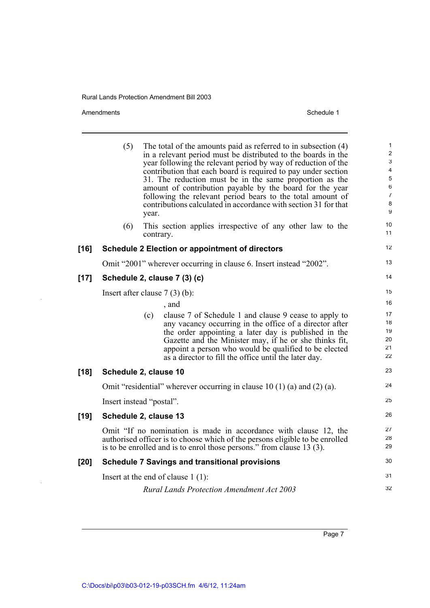Amendments Schedule 1

 $\ddot{\phantom{a}}$ 

 $\ddot{\phantom{a}}$ 

|      | (5) | The total of the amounts paid as referred to in subsection (4)<br>in a relevant period must be distributed to the boards in the<br>year following the relevant period by way of reduction of the<br>contribution that each board is required to pay under section<br>31. The reduction must be in the same proportion as the<br>amount of contribution payable by the board for the year<br>following the relevant period bears to the total amount of<br>contributions calculated in accordance with section 31 for that<br>year. | $\mathbf{1}$<br>$\overline{2}$<br>3<br>$\overline{\mathbf{4}}$<br>5<br>$\,6\,$<br>$\overline{7}$<br>8<br>9 |
|------|-----|------------------------------------------------------------------------------------------------------------------------------------------------------------------------------------------------------------------------------------------------------------------------------------------------------------------------------------------------------------------------------------------------------------------------------------------------------------------------------------------------------------------------------------|------------------------------------------------------------------------------------------------------------|
|      | (6) | This section applies irrespective of any other law to the<br>contrary.                                                                                                                                                                                                                                                                                                                                                                                                                                                             | 10<br>11                                                                                                   |
| [16] |     | <b>Schedule 2 Election or appointment of directors</b>                                                                                                                                                                                                                                                                                                                                                                                                                                                                             | 12                                                                                                         |
|      |     | Omit "2001" wherever occurring in clause 6. Insert instead "2002".                                                                                                                                                                                                                                                                                                                                                                                                                                                                 | 13                                                                                                         |
| [17] |     | Schedule 2, clause 7 (3) (c)                                                                                                                                                                                                                                                                                                                                                                                                                                                                                                       | 14                                                                                                         |
|      |     | Insert after clause $7(3)(b)$ :                                                                                                                                                                                                                                                                                                                                                                                                                                                                                                    | 15                                                                                                         |
|      |     | , and                                                                                                                                                                                                                                                                                                                                                                                                                                                                                                                              | 16                                                                                                         |
|      |     | (c)<br>clause 7 of Schedule 1 and clause 9 cease to apply to<br>any vacancy occurring in the office of a director after<br>the order appointing a later day is published in the<br>Gazette and the Minister may, if he or she thinks fit,<br>appoint a person who would be qualified to be elected<br>as a director to fill the office until the later day.                                                                                                                                                                        | 17<br>18<br>19<br>20<br>21<br>22                                                                           |
| [18] |     | Schedule 2, clause 10                                                                                                                                                                                                                                                                                                                                                                                                                                                                                                              | 23                                                                                                         |
|      |     | Omit "residential" wherever occurring in clause 10 (1) (a) and (2) (a).                                                                                                                                                                                                                                                                                                                                                                                                                                                            | 24                                                                                                         |
|      |     | Insert instead "postal".                                                                                                                                                                                                                                                                                                                                                                                                                                                                                                           | 25                                                                                                         |
| [19] |     | Schedule 2, clause 13                                                                                                                                                                                                                                                                                                                                                                                                                                                                                                              | 26                                                                                                         |
|      |     | Omit "If no nomination is made in accordance with clause 12, the<br>authorised officer is to choose which of the persons eligible to be enrolled<br>is to be enrolled and is to enrol those persons." from clause 13 (3).                                                                                                                                                                                                                                                                                                          | 27<br>28<br>29                                                                                             |
| [20] |     | <b>Schedule 7 Savings and transitional provisions</b>                                                                                                                                                                                                                                                                                                                                                                                                                                                                              | 30                                                                                                         |
|      |     | Insert at the end of clause $1(1)$ :                                                                                                                                                                                                                                                                                                                                                                                                                                                                                               | 31                                                                                                         |
|      |     | <b>Rural Lands Protection Amendment Act 2003</b>                                                                                                                                                                                                                                                                                                                                                                                                                                                                                   | 32                                                                                                         |